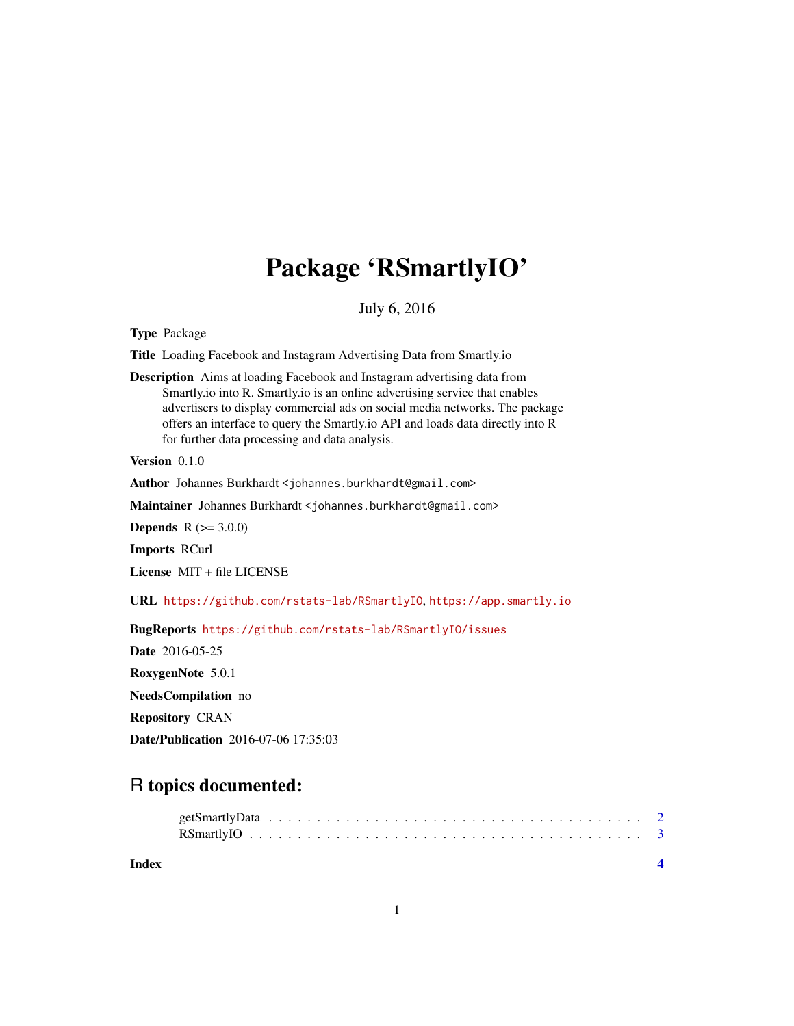## Package 'RSmartlyIO'

July 6, 2016

Type Package

Title Loading Facebook and Instagram Advertising Data from Smartly.io

Description Aims at loading Facebook and Instagram advertising data from Smartly.io into R. Smartly.io is an online advertising service that enables advertisers to display commercial ads on social media networks. The package offers an interface to query the Smartly.io API and loads data directly into R for further data processing and data analysis.

Version 0.1.0

Author Johannes Burkhardt <johannes.burkhardt@gmail.com>

Maintainer Johannes Burkhardt <johannes.burkhardt@gmail.com>

**Depends**  $R (= 3.0.0)$ 

Imports RCurl

License MIT + file LICENSE

URL <https://github.com/rstats-lab/RSmartlyIO>, <https://app.smartly.io>

BugReports <https://github.com/rstats-lab/RSmartlyIO/issues>

Date 2016-05-25 RoxygenNote 5.0.1

NeedsCompilation no

Repository CRAN

Date/Publication 2016-07-06 17:35:03

### R topics documented:

| Index |  |  |  |  |  |  |  |  |  |  |  |  |  |  |  |  |
|-------|--|--|--|--|--|--|--|--|--|--|--|--|--|--|--|--|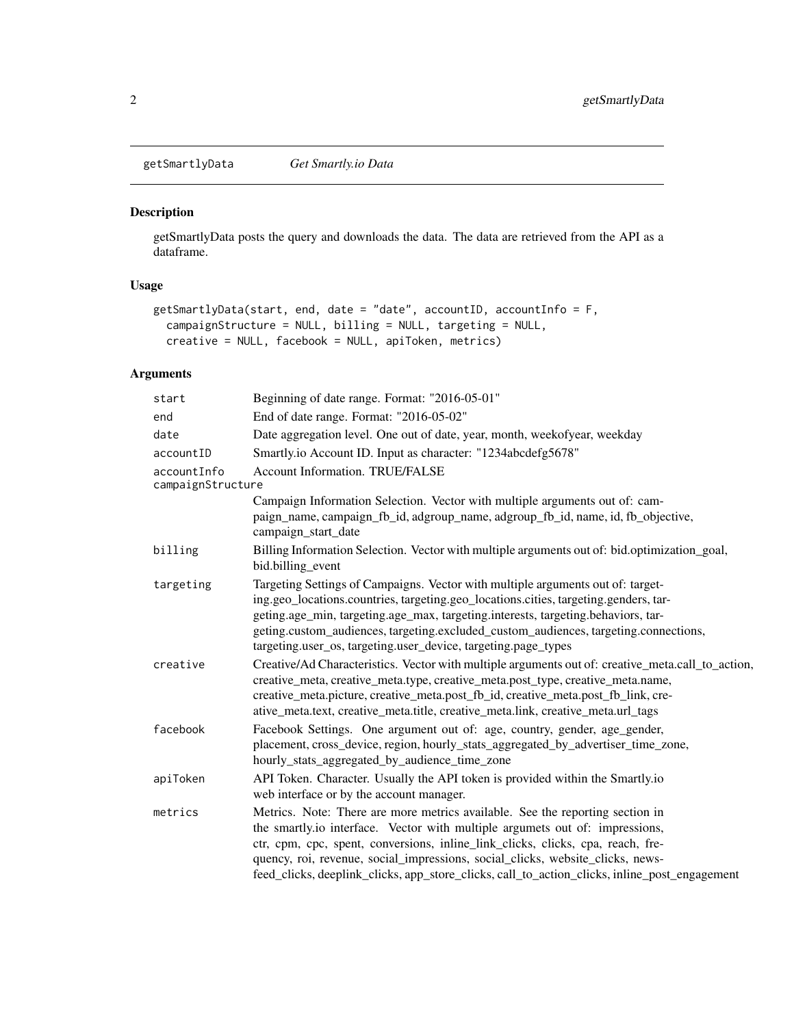<span id="page-1-0"></span>getSmartlyData *Get Smartly.io Data*

#### Description

getSmartlyData posts the query and downloads the data. The data are retrieved from the API as a dataframe.

#### Usage

```
getSmartlyData(start, end, date = "date", accountID, accountInfo = F,
  campaignStructure = NULL, billing = NULL, targeting = NULL,
  creative = NULL, facebook = NULL, apiToken, metrics)
```
#### Arguments

| start                            | Beginning of date range. Format: "2016-05-01"                                                                                      |
|----------------------------------|------------------------------------------------------------------------------------------------------------------------------------|
| end                              | End of date range. Format: "2016-05-02"                                                                                            |
| date                             | Date aggregation level. One out of date, year, month, weekofyear, weekday                                                          |
| accountID                        | Smartly.io Account ID. Input as character: "1234abcdefg5678"                                                                       |
| accountInfo<br>campaignStructure | <b>Account Information. TRUE/FALSE</b>                                                                                             |
|                                  | Campaign Information Selection. Vector with multiple arguments out of: cam-                                                        |
|                                  | paign_name, campaign_fb_id, adgroup_name, adgroup_fb_id, name, id, fb_objective,<br>campaign_start_date                            |
| billing                          | Billing Information Selection. Vector with multiple arguments out of: bid.optimization_goal,<br>bid.billing_event                  |
| targeting                        | Targeting Settings of Campaigns. Vector with multiple arguments out of: target-                                                    |
|                                  | ing.geo_locations.countries, targeting.geo_locations.cities, targeting.genders, tar-                                               |
|                                  | geting.age_min, targeting.age_max, targeting.interests, targeting.behaviors, tar-                                                  |
|                                  | geting.custom_audiences, targeting.excluded_custom_audiences, targeting.connections,                                               |
|                                  | targeting.user_os, targeting.user_device, targeting.page_types                                                                     |
| creative                         | Creative/Ad Characteristics. Vector with multiple arguments out of: creative_meta.call_to_action,                                  |
|                                  | creative_meta, creative_meta.type, creative_meta.post_type, creative_meta.name,                                                    |
|                                  | creative_meta.picture, creative_meta.post_fb_id, creative_meta.post_fb_link, cre-                                                  |
|                                  | ative_meta.text, creative_meta.title, creative_meta.link, creative_meta.url_tags                                                   |
| facebook                         | Facebook Settings. One argument out of: age, country, gender, age_gender,                                                          |
|                                  | placement, cross_device, region, hourly_stats_aggregated_by_advertiser_time_zone,<br>hourly_stats_aggregated_by_audience_time_zone |
| apiToken                         | API Token. Character. Usually the API token is provided within the Smartly.io                                                      |
|                                  | web interface or by the account manager.                                                                                           |
| metrics                          | Metrics. Note: There are more metrics available. See the reporting section in                                                      |
|                                  | the smartly.io interface. Vector with multiple argumets out of: impressions,                                                       |
|                                  | ctr, cpm, cpc, spent, conversions, inline_link_clicks, clicks, cpa, reach, fre-                                                    |
|                                  | quency, roi, revenue, social_impressions, social_clicks, website_clicks, news-                                                     |
|                                  | feed_clicks, deeplink_clicks, app_store_clicks, call_to_action_clicks, inline_post_engagement                                      |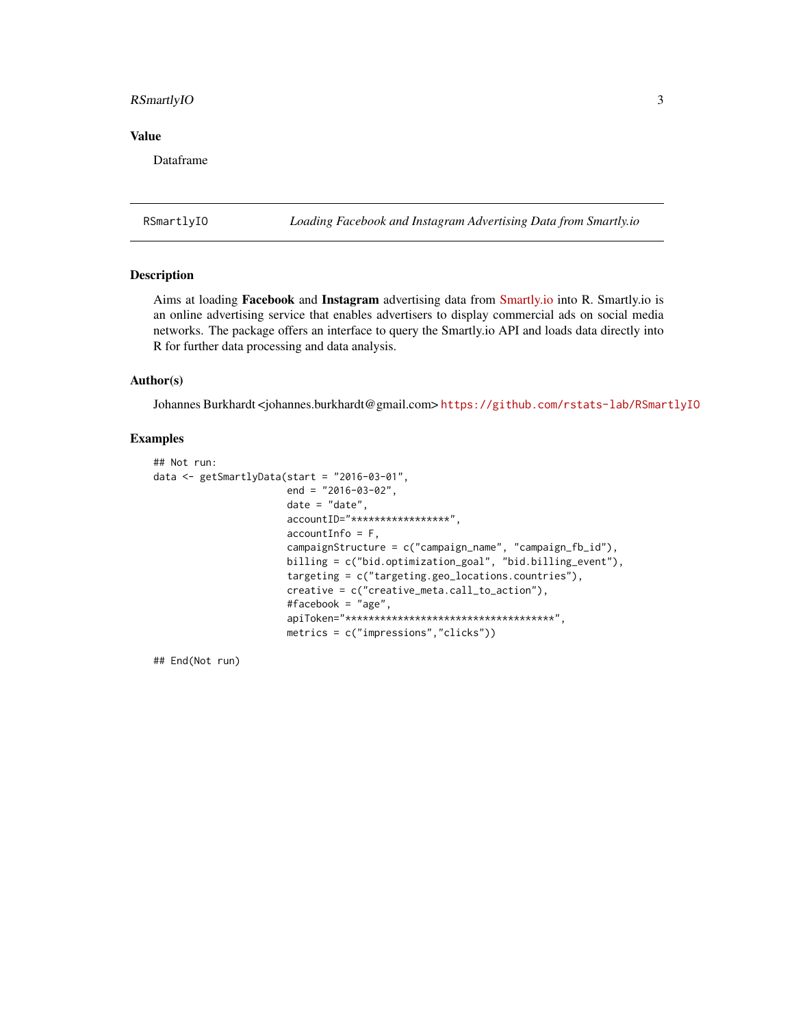#### <span id="page-2-0"></span>RSmartlyIO 3

#### Value

Dataframe

RSmartlyIO *Loading Facebook and Instagram Advertising Data from Smartly.io*

#### Description

Aims at loading Facebook and Instagram advertising data from [Smartly.io](https://app.smartly.io) into R. Smartly.io is an online advertising service that enables advertisers to display commercial ads on social media networks. The package offers an interface to query the Smartly.io API and loads data directly into R for further data processing and data analysis.

#### Author(s)

Johannes Burkhardt <johannes.burkhardt@gmail.com> <https://github.com/rstats-lab/RSmartlyIO>

#### Examples

```
## Not run:
data <- getSmartlyData(start = "2016-03-01",
                       end = "2016-03-02",
                       date = "date",
                       accountID="*****************",
                       accountInfo = F,campaignStructure = c("campaign_name", "campaign_fb_id"),
                       billing = c("bid.optimization_goal", "bid.billing_event"),
                       targeting = c("targeting.geo_locations.countries"),
                       creative = c("creative_meta.call_to_action"),
                       #facebook = "age",
                       apiToken="************************************",
                       metrics = c("impressions","clicks"))
```
## End(Not run)